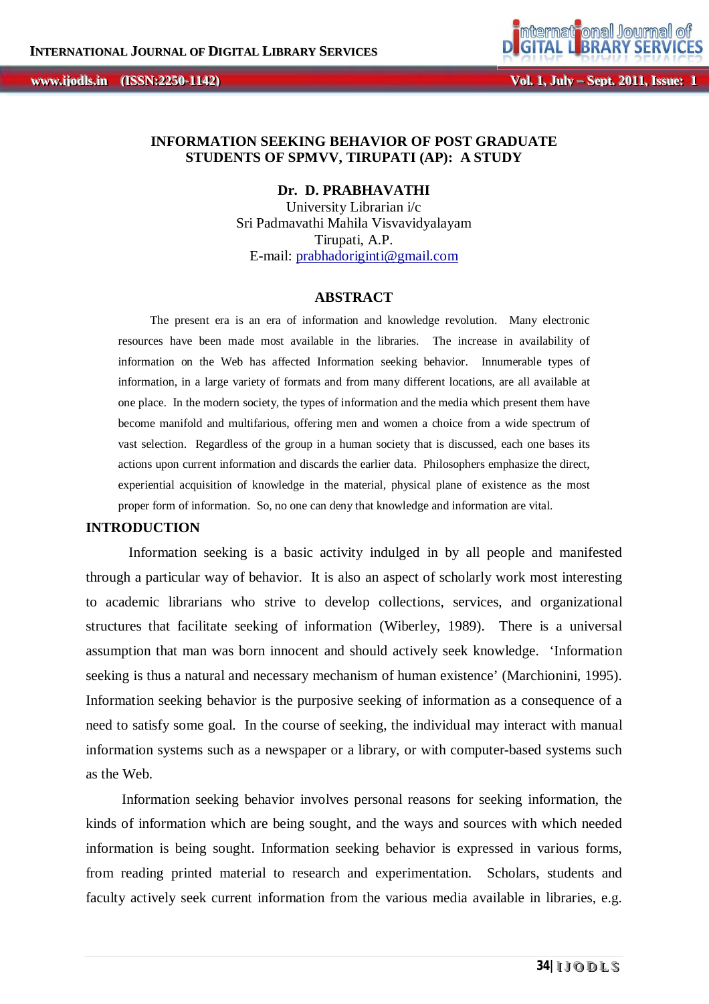**, IIIssuue Except Wol. 1, July – Sept. 2011, Issue:**<br> **IIIssue: IIIssue: IIIssue: IIIssue: IIIssue: IIIssue: IIIssue: IIIssue: IIIssue: IIIssue: IIIssue: IIIssue: IIIssue: IIIssue: IIIssue: ii jjooddllss...**

## **INFORMATION SEEKING BEHAVIOR OF POST GRADUATE STUDENTS OF SPMVV, TIRUPATI (AP): A STUDY**

**Dr. D. PRABHAVATHI**

University Librarian i/c Sri Padmavathi Mahila Visvavidyalayam Tirupati, A.P. E-mail: prabhadoriginti@gmail.com

#### **ABSTRACT**

The present era is an era of information and knowledge revolution. Many electronic resources have been made most available in the libraries. The increase in availability of information on the Web has affected Information seeking behavior. Innumerable types of information, in a large variety of formats and from many different locations, are all available at one place. In the modern society, the types of information and the media which present them have become manifold and multifarious, offering men and women a choice from a wide spectrum of vast selection. Regardless of the group in a human society that is discussed, each one bases its actions upon current information and discards the earlier data. Philosophers emphasize the direct, experiential acquisition of knowledge in the material, physical plane of existence as the most proper form of information. So, no one can deny that knowledge and information are vital.

## **INTRODUCTION**

Information seeking is a basic activity indulged in by all people and manifested through a particular way of behavior. It is also an aspect of scholarly work most interesting to academic librarians who strive to develop collections, services, and organizational structures that facilitate seeking of information (Wiberley, 1989). There is a universal assumption that man was born innocent and should actively seek knowledge. 'Information seeking is thus a natural and necessary mechanism of human existence' (Marchionini, 1995). Information seeking behavior is the purposive seeking of information as a consequence of a need to satisfy some goal. In the course of seeking, the individual may interact with manual information systems such as a newspaper or a library, or with computer-based systems such as the Web.

 Information seeking behavior involves personal reasons for seeking information, the kinds of information which are being sought, and the ways and sources with which needed information is being sought. Information seeking behavior is expressed in various forms, from reading printed material to research and experimentation. Scholars, students and faculty actively seek current information from the various media available in libraries, e.g.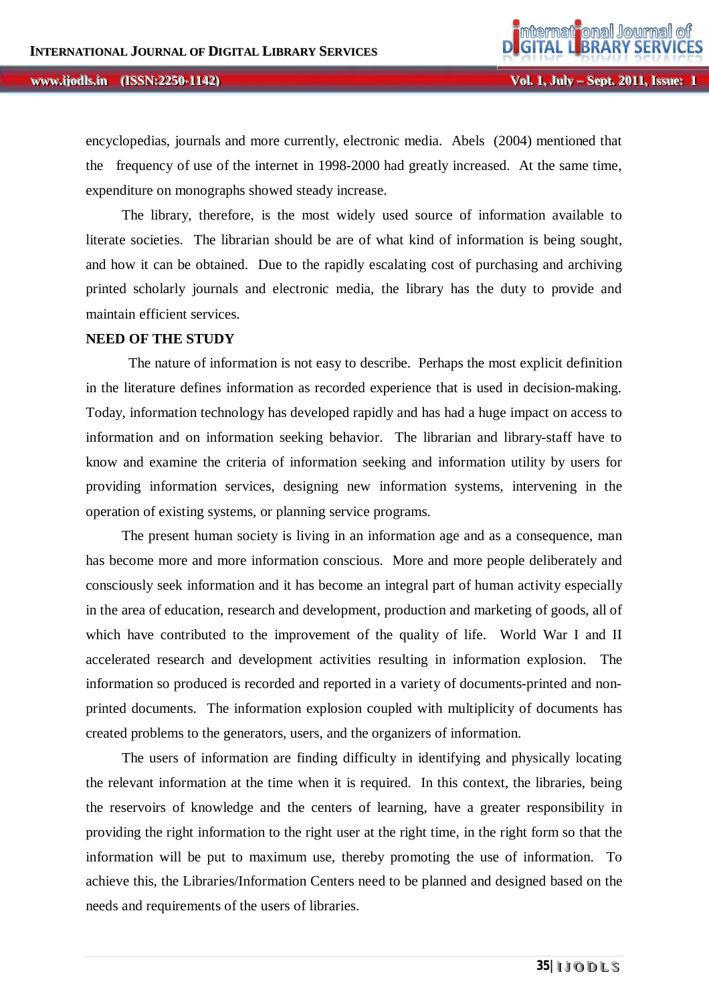encyclopedias, journals and more currently, electronic media. Abels (2004) mentioned that the frequency of use of the internet in 1998-2000 had greatly increased. At the same time, expenditure on monographs showed steady increase.

 The library, therefore, is the most widely used source of information available to literate societies. The librarian should be are of what kind of information is being sought, and how it can be obtained. Due to the rapidly escalating cost of purchasing and archiving printed scholarly journals and electronic media, the library has the duty to provide and maintain efficient services.

#### **NEED OF THE STUDY**

The nature of information is not easy to describe. Perhaps the most explicit definition in the literature defines information as recorded experience that is used in decision-making. Today, information technology has developed rapidly and has had a huge impact on access to information and on information seeking behavior. The librarian and library-staff have to know and examine the criteria of information seeking and information utility by users for providing information services, designing new information systems, intervening in the operation of existing systems, or planning service programs.

 The present human society is living in an information age and as a consequence, man has become more and more information conscious. More and more people deliberately and consciously seek information and it has become an integral part of human activity especially in the area of education, research and development, production and marketing of goods, all of which have contributed to the improvement of the quality of life. World War I and II accelerated research and development activities resulting in information explosion. The information so produced is recorded and reported in a variety of documents-printed and nonprinted documents. The information explosion coupled with multiplicity of documents has created problems to the generators, users, and the organizers of information.

 The users of information are finding difficulty in identifying and physically locating the relevant information at the time when it is required. In this context, the libraries, being the reservoirs of knowledge and the centers of learning, have a greater responsibility in providing the right information to the right user at the right time, in the right form so that the information will be put to maximum use, thereby promoting the use of information. To achieve this, the Libraries/Information Centers need to be planned and designed based on the needs and requirements of the users of libraries.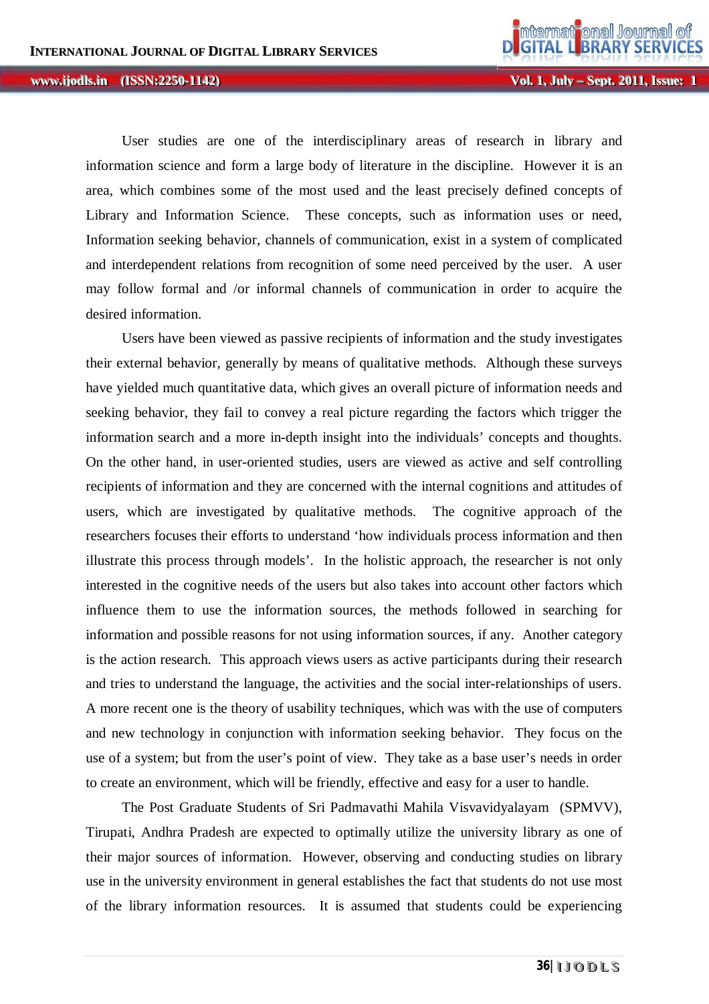**Vol. 1, Jul** *ly* **– Sept. 2011, Issue: 1** 

 User studies are one of the interdisciplinary areas of research in library and information science and form a large body of literature in the discipline. However it is an area, which combines some of the most used and the least precisely defined concepts of Library and Information Science. These concepts, such as information uses or need, Information seeking behavior, channels of communication, exist in a system of complicated and interdependent relations from recognition of some need perceived by the user. A user may follow formal and /or informal channels of communication in order to acquire the desired information.

 Users have been viewed as passive recipients of information and the study investigates their external behavior, generally by means of qualitative methods. Although these surveys have yielded much quantitative data, which gives an overall picture of information needs and seeking behavior, they fail to convey a real picture regarding the factors which trigger the information search and a more in-depth insight into the individuals' concepts and thoughts. On the other hand, in user-oriented studies, users are viewed as active and self controlling recipients of information and they are concerned with the internal cognitions and attitudes of users, which are investigated by qualitative methods. The cognitive approach of the researchers focuses their efforts to understand 'how individuals process information and then illustrate this process through models'. In the holistic approach, the researcher is not only interested in the cognitive needs of the users but also takes into account other factors which influence them to use the information sources, the methods followed in searching for information and possible reasons for not using information sources, if any. Another category is the action research. This approach views users as active participants during their research and tries to understand the language, the activities and the social inter-relationships of users. A more recent one is the theory of usability techniques, which was with the use of computers and new technology in conjunction with information seeking behavior. They focus on the use of a system; but from the user's point of view. They take as a base user's needs in order to create an environment, which will be friendly, effective and easy for a user to handle.

 The Post Graduate Students of Sri Padmavathi Mahila Visvavidyalayam (SPMVV), Tirupati, Andhra Pradesh are expected to optimally utilize the university library as one of their major sources of information. However, observing and conducting studies on library use in the university environment in general establishes the fact that students do not use most of the library information resources. It is assumed that students could be experiencing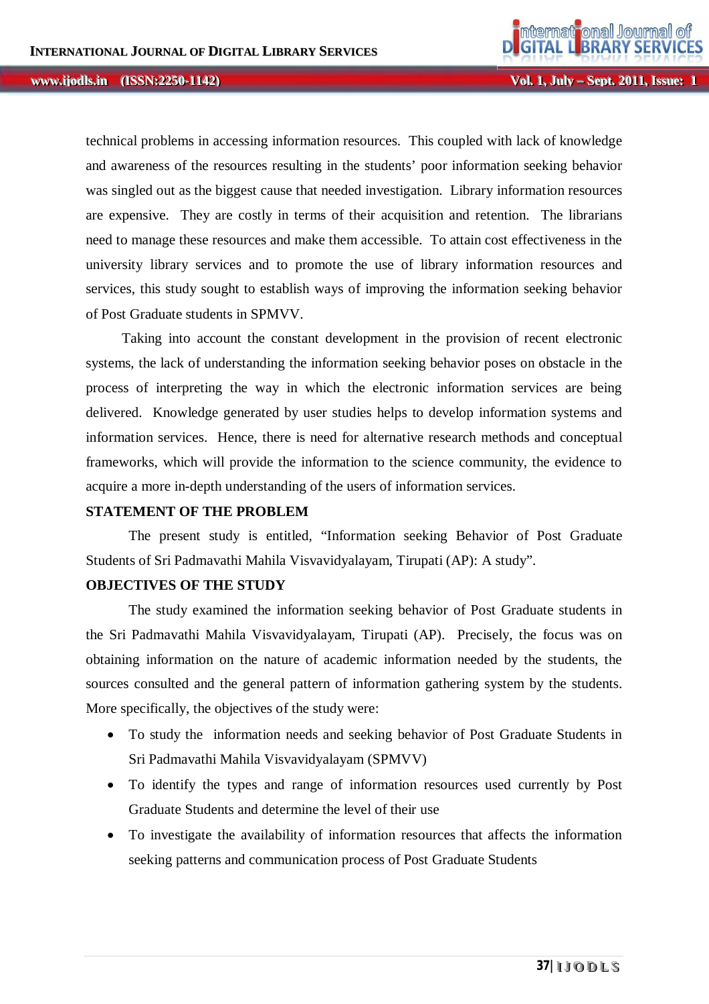**Vol. 1, Jul** *ly* **– Sept. 2011, Issue: 1** 

technical problems in accessing information resources. This coupled with lack of knowledge and awareness of the resources resulting in the students' poor information seeking behavior was singled out as the biggest cause that needed investigation. Library information resources are expensive. They are costly in terms of their acquisition and retention. The librarians need to manage these resources and make them accessible. To attain cost effectiveness in the university library services and to promote the use of library information resources and services, this study sought to establish ways of improving the information seeking behavior of Post Graduate students in SPMVV.

 Taking into account the constant development in the provision of recent electronic systems, the lack of understanding the information seeking behavior poses on obstacle in the process of interpreting the way in which the electronic information services are being delivered. Knowledge generated by user studies helps to develop information systems and information services. Hence, there is need for alternative research methods and conceptual frameworks, which will provide the information to the science community, the evidence to acquire a more in-depth understanding of the users of information services.

#### **STATEMENT OF THE PROBLEM**

The present study is entitled, "Information seeking Behavior of Post Graduate Students of Sri Padmavathi Mahila Visvavidyalayam, Tirupati (AP): A study".

## **OBJECTIVES OF THE STUDY**

The study examined the information seeking behavior of Post Graduate students in the Sri Padmavathi Mahila Visvavidyalayam, Tirupati (AP). Precisely, the focus was on obtaining information on the nature of academic information needed by the students, the sources consulted and the general pattern of information gathering system by the students. More specifically, the objectives of the study were:

- To study the information needs and seeking behavior of Post Graduate Students in Sri Padmavathi Mahila Visvavidyalayam (SPMVV)
- To identify the types and range of information resources used currently by Post Graduate Students and determine the level of their use
- To investigate the availability of information resources that affects the information seeking patterns and communication process of Post Graduate Students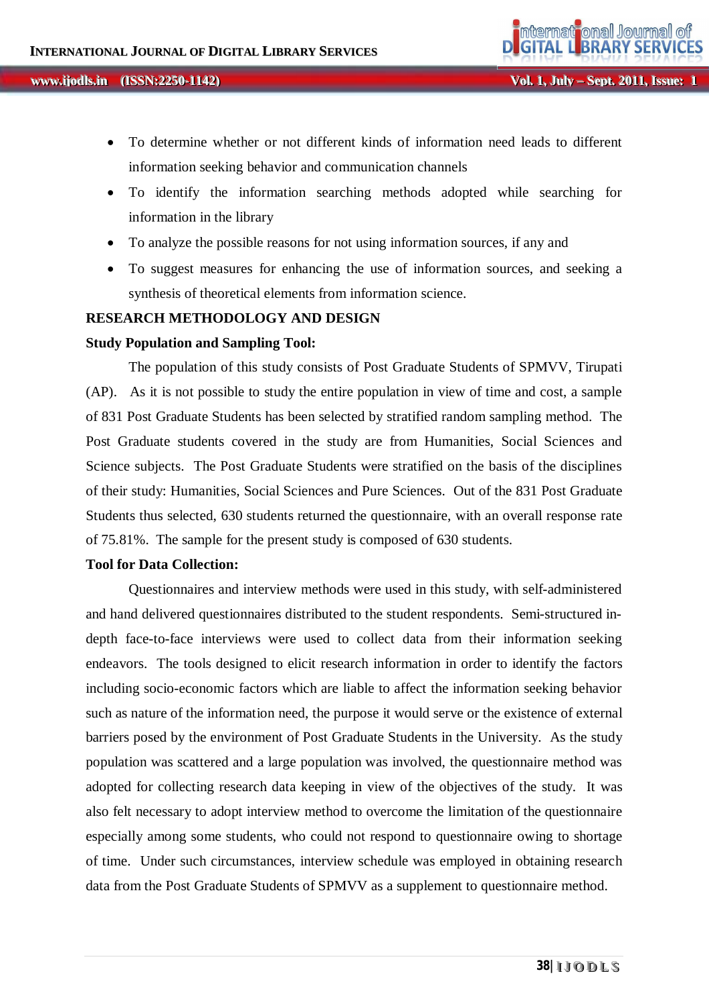- To determine whether or not different kinds of information need leads to different information seeking behavior and communication channels
- To identify the information searching methods adopted while searching for information in the library
- To analyze the possible reasons for not using information sources, if any and
- To suggest measures for enhancing the use of information sources, and seeking a synthesis of theoretical elements from information science.

## **RESEARCH METHODOLOGY AND DESIGN**

#### **Study Population and Sampling Tool:**

The population of this study consists of Post Graduate Students of SPMVV, Tirupati (AP). As it is not possible to study the entire population in view of time and cost, a sample of 831 Post Graduate Students has been selected by stratified random sampling method. The Post Graduate students covered in the study are from Humanities, Social Sciences and Science subjects. The Post Graduate Students were stratified on the basis of the disciplines of their study: Humanities, Social Sciences and Pure Sciences. Out of the 831 Post Graduate Students thus selected, 630 students returned the questionnaire, with an overall response rate of 75.81%. The sample for the present study is composed of 630 students.

## **Tool for Data Collection:**

Questionnaires and interview methods were used in this study, with self-administered and hand delivered questionnaires distributed to the student respondents. Semi-structured indepth face-to-face interviews were used to collect data from their information seeking endeavors. The tools designed to elicit research information in order to identify the factors including socio-economic factors which are liable to affect the information seeking behavior such as nature of the information need, the purpose it would serve or the existence of external barriers posed by the environment of Post Graduate Students in the University. As the study population was scattered and a large population was involved, the questionnaire method was adopted for collecting research data keeping in view of the objectives of the study. It was also felt necessary to adopt interview method to overcome the limitation of the questionnaire especially among some students, who could not respond to questionnaire owing to shortage of time. Under such circumstances, interview schedule was employed in obtaining research data from the Post Graduate Students of SPMVV as a supplement to questionnaire method.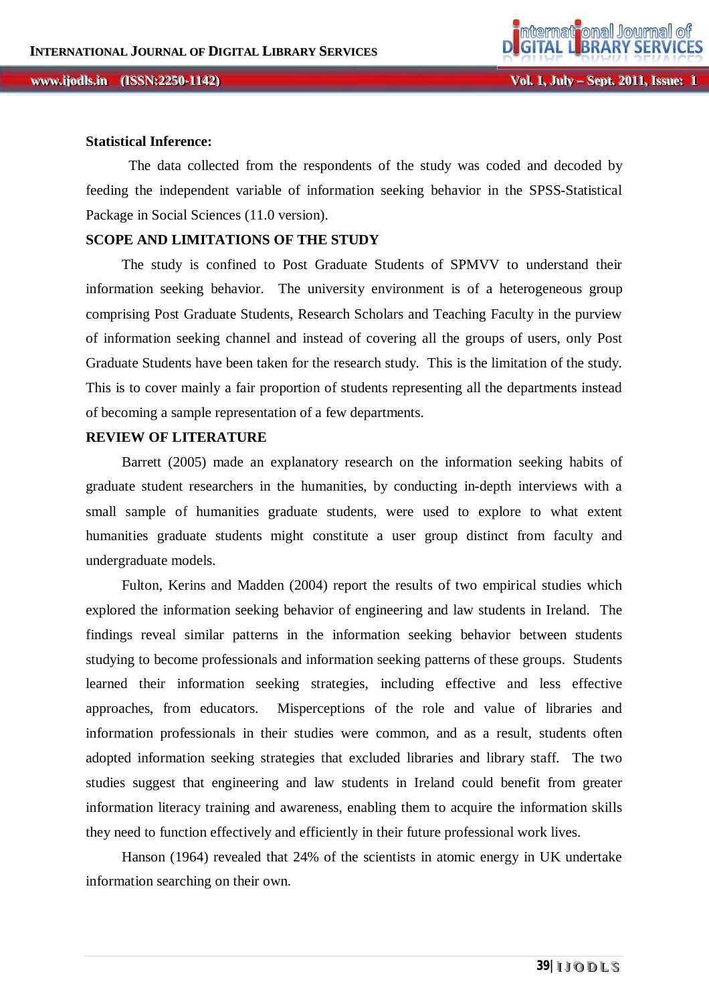## **Statistical Inference:**

The data collected from the respondents of the study was coded and decoded by feeding the independent variable of information seeking behavior in the SPSS-Statistical Package in Social Sciences (11.0 version).

## **SCOPE AND LIMITATIONS OF THE STUDY**

 The study is confined to Post Graduate Students of SPMVV to understand their information seeking behavior. The university environment is of a heterogeneous group comprising Post Graduate Students, Research Scholars and Teaching Faculty in the purview of information seeking channel and instead of covering all the groups of users, only Post Graduate Students have been taken for the research study. This is the limitation of the study. This is to cover mainly a fair proportion of students representing all the departments instead of becoming a sample representation of a few departments.

## **REVIEW OF LITERATURE**

 Barrett (2005) made an explanatory research on the information seeking habits of graduate student researchers in the humanities, by conducting in-depth interviews with a small sample of humanities graduate students, were used to explore to what extent humanities graduate students might constitute a user group distinct from faculty and undergraduate models.

 Fulton, Kerins and Madden (2004) report the results of two empirical studies which explored the information seeking behavior of engineering and law students in Ireland. The findings reveal similar patterns in the information seeking behavior between students studying to become professionals and information seeking patterns of these groups. Students learned their information seeking strategies, including effective and less effective approaches, from educators. Misperceptions of the role and value of libraries and information professionals in their studies were common, and as a result, students often adopted information seeking strategies that excluded libraries and library staff. The two studies suggest that engineering and law students in Ireland could benefit from greater information literacy training and awareness, enabling them to acquire the information skills they need to function effectively and efficiently in their future professional work lives.

 Hanson (1964) revealed that 24% of the scientists in atomic energy in UK undertake information searching on their own.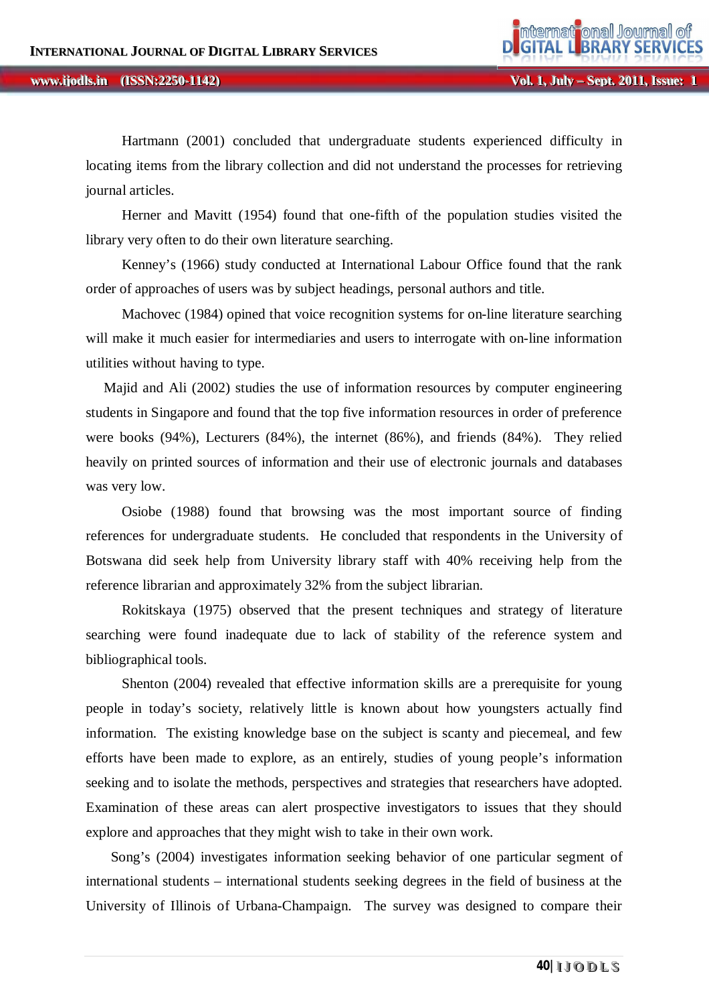#### **lywww.ijodls.in** (ISSN:2250-1142) **and** *Ly* **Coloring the Coloring Coloring Coloring Coloring Coloring Coloring Coloring Coloring Coloring Coloring Coloring Coloring Coloring Coloring Coloring Coloring Coloring Colorin ii jjooddllss... (ISSN:2250-1142)**

 Hartmann (2001) concluded that undergraduate students experienced difficulty in locating items from the library collection and did not understand the processes for retrieving journal articles.

 Herner and Mavitt (1954) found that one-fifth of the population studies visited the library very often to do their own literature searching.

 Kenney's (1966) study conducted at International Labour Office found that the rank order of approaches of users was by subject headings, personal authors and title.

 Machovec (1984) opined that voice recognition systems for on-line literature searching will make it much easier for intermediaries and users to interrogate with on-line information utilities without having to type.

 Majid and Ali (2002) studies the use of information resources by computer engineering students in Singapore and found that the top five information resources in order of preference were books (94%), Lecturers (84%), the internet (86%), and friends (84%). They relied heavily on printed sources of information and their use of electronic journals and databases was very low.

 Osiobe (1988) found that browsing was the most important source of finding references for undergraduate students. He concluded that respondents in the University of Botswana did seek help from University library staff with 40% receiving help from the reference librarian and approximately 32% from the subject librarian.

 Rokitskaya (1975) observed that the present techniques and strategy of literature searching were found inadequate due to lack of stability of the reference system and bibliographical tools.

 Shenton (2004) revealed that effective information skills are a prerequisite for young people in today's society, relatively little is known about how youngsters actually find information. The existing knowledge base on the subject is scanty and piecemeal, and few efforts have been made to explore, as an entirely, studies of young people's information seeking and to isolate the methods, perspectives and strategies that researchers have adopted. Examination of these areas can alert prospective investigators to issues that they should explore and approaches that they might wish to take in their own work.

 Song's (2004) investigates information seeking behavior of one particular segment of international students – international students seeking degrees in the field of business at the University of Illinois of Urbana-Champaign. The survey was designed to compare their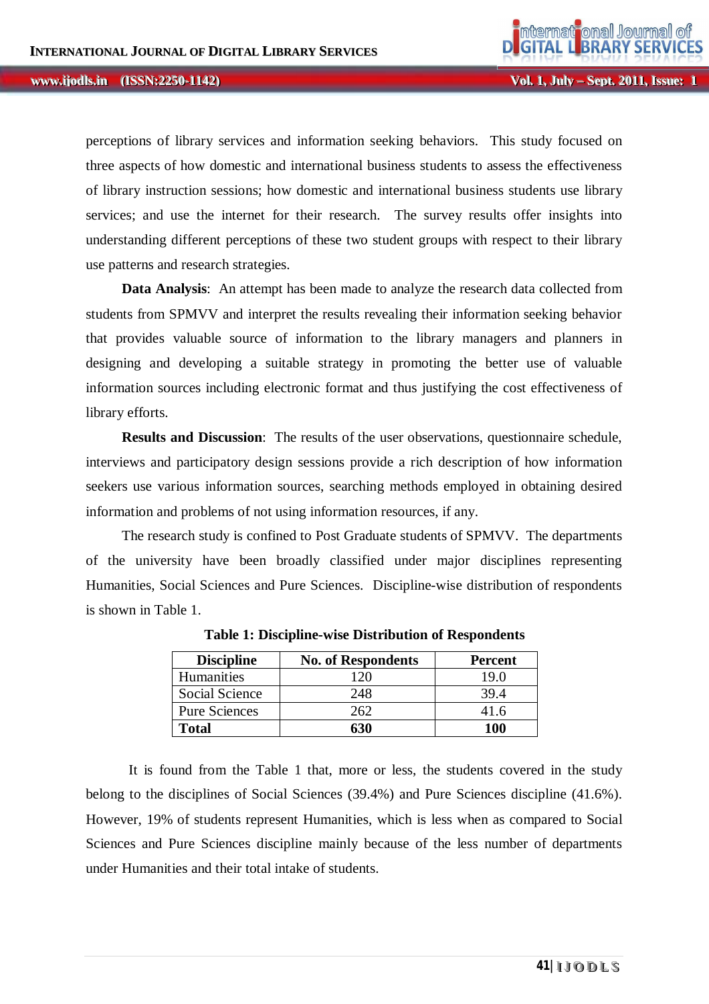#### **lywww.ijodls.in** (ISSN:2250-1142) **and** *Ly* **Coloring the Coloring Coloring Coloring Coloring Coloring Coloring Coloring Coloring Coloring Coloring Coloring Coloring Coloring Coloring Coloring Coloring Coloring Colorin ii jjooddllss... (ISSN:2250-1142)**

**Vol. 1, Jul** 

perceptions of library services and information seeking behaviors. This study focused on three aspects of how domestic and international business students to assess the effectiveness of library instruction sessions; how domestic and international business students use library services; and use the internet for their research. The survey results offer insights into understanding different perceptions of these two student groups with respect to their library use patterns and research strategies.

 **Data Analysis**: An attempt has been made to analyze the research data collected from students from SPMVV and interpret the results revealing their information seeking behavior that provides valuable source of information to the library managers and planners in designing and developing a suitable strategy in promoting the better use of valuable information sources including electronic format and thus justifying the cost effectiveness of library efforts.

**Results and Discussion:** The results of the user observations, questionnaire schedule, interviews and participatory design sessions provide a rich description of how information seekers use various information sources, searching methods employed in obtaining desired information and problems of not using information resources, if any.

The research study is confined to Post Graduate students of SPMVV. The departments of the university have been broadly classified under major disciplines representing Humanities, Social Sciences and Pure Sciences. Discipline-wise distribution of respondents is shown in Table 1.

| <b>Discipline</b>    | <b>No. of Respondents</b> | <b>Percent</b> |
|----------------------|---------------------------|----------------|
| Humanities           | 12(                       | 19 O           |
| Social Science       | 248                       | 39.4           |
| <b>Pure Sciences</b> | 262.                      | 41.6           |
| Total                | 630                       | 100            |

**Table 1: Discipline-wise Distribution of Respondents**

It is found from the Table 1 that, more or less, the students covered in the study belong to the disciplines of Social Sciences (39.4%) and Pure Sciences discipline (41.6%). However, 19% of students represent Humanities, which is less when as compared to Social Sciences and Pure Sciences discipline mainly because of the less number of departments under Humanities and their total intake of students.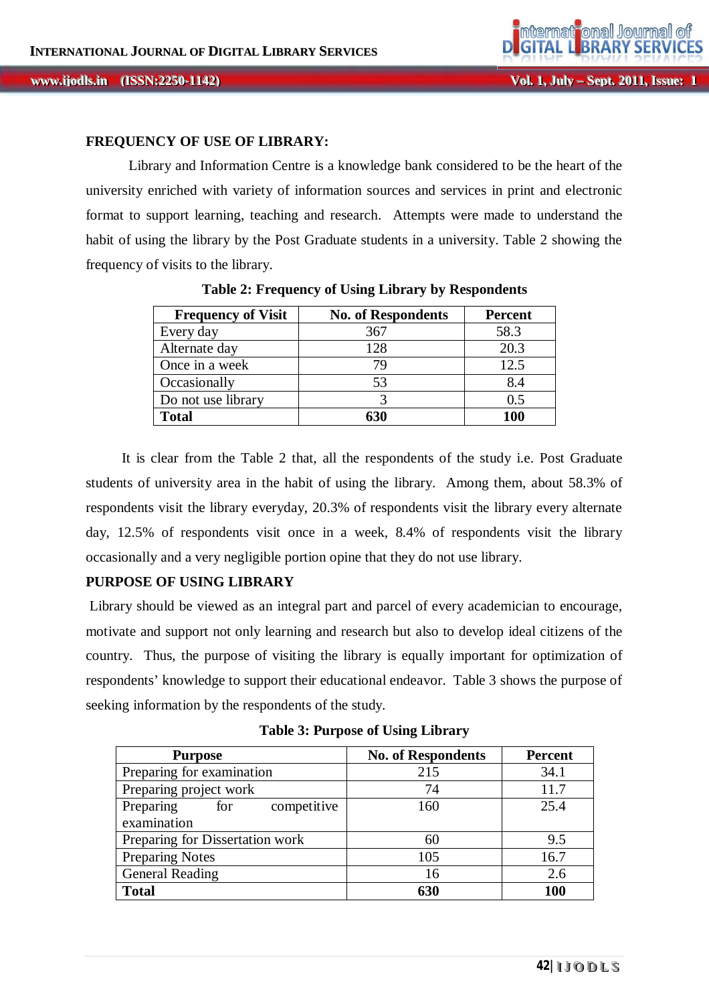### **FREQUENCY OF USE OF LIBRARY:**

Library and Information Centre is a knowledge bank considered to be the heart of the university enriched with variety of information sources and services in print and electronic format to support learning, teaching and research. Attempts were made to understand the habit of using the library by the Post Graduate students in a university. Table 2 showing the frequency of visits to the library.

| <b>Frequency of Visit</b> | <b>No. of Respondents</b> | <b>Percent</b> |
|---------------------------|---------------------------|----------------|
| Every day                 | 367                       | 58.3           |
| Alternate day             | 128                       | 20.3           |
| Once in a week            | 79                        | 12.5           |
| Occasionally              | 53                        | 8.4            |
| Do not use library        |                           | 0.5            |
| <b>Total</b>              | 630                       | 100            |

**Table 2: Frequency of Using Library by Respondents**

 It is clear from the Table 2 that, all the respondents of the study i.e. Post Graduate students of university area in the habit of using the library. Among them, about 58.3% of respondents visit the library everyday, 20.3% of respondents visit the library every alternate day, 12.5% of respondents visit once in a week, 8.4% of respondents visit the library occasionally and a very negligible portion opine that they do not use library.

## **PURPOSE OF USING LIBRARY**

Library should be viewed as an integral part and parcel of every academician to encourage, motivate and support not only learning and research but also to develop ideal citizens of the country. Thus, the purpose of visiting the library is equally important for optimization of respondents' knowledge to support their educational endeavor. Table 3 shows the purpose of seeking information by the respondents of the study.

**Table 3: Purpose of Using Library**

| <b>Purpose</b>                  | <b>No. of Respondents</b> | <b>Percent</b> |
|---------------------------------|---------------------------|----------------|
| Preparing for examination       | 215                       | 34.1           |
| Preparing project work          | 74                        | 11.7           |
| competitive<br>Preparing<br>for | 160                       | 25.4           |
| examination                     |                           |                |
| Preparing for Dissertation work | 60                        | 9.5            |
| <b>Preparing Notes</b>          | 105                       | 16.7           |
| <b>General Reading</b>          | 16                        | 2.6            |
| <b>Total</b>                    | 630                       | 100            |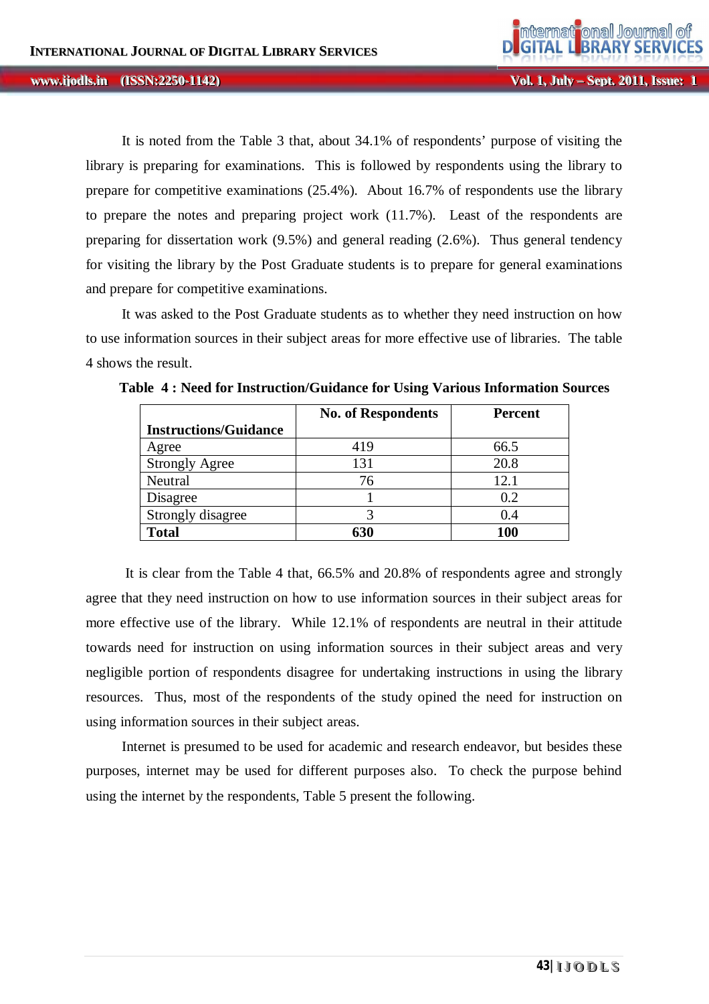It is noted from the Table 3 that, about 34.1% of respondents' purpose of visiting the library is preparing for examinations. This is followed by respondents using the library to prepare for competitive examinations (25.4%). About 16.7% of respondents use the library to prepare the notes and preparing project work (11.7%). Least of the respondents are preparing for dissertation work (9.5%) and general reading (2.6%). Thus general tendency for visiting the library by the Post Graduate students is to prepare for general examinations and prepare for competitive examinations.

 It was asked to the Post Graduate students as to whether they need instruction on how to use information sources in their subject areas for more effective use of libraries. The table 4 shows the result.

|                              | <b>No. of Respondents</b> | <b>Percent</b> |
|------------------------------|---------------------------|----------------|
| <b>Instructions/Guidance</b> |                           |                |
| Agree                        | 419                       | 66.5           |
| <b>Strongly Agree</b>        | 131                       | 20.8           |
| Neutral                      | 76                        | 12.1           |
| Disagree                     |                           | 0.2            |
| Strongly disagree            |                           | 0.4            |
| <b>Total</b>                 | 630                       | <b>100</b>     |

**Table 4 : Need for Instruction/Guidance for Using Various Information Sources**

 It is clear from the Table 4 that, 66.5% and 20.8% of respondents agree and strongly agree that they need instruction on how to use information sources in their subject areas for more effective use of the library. While 12.1% of respondents are neutral in their attitude towards need for instruction on using information sources in their subject areas and very negligible portion of respondents disagree for undertaking instructions in using the library resources. Thus, most of the respondents of the study opined the need for instruction on using information sources in their subject areas.

 Internet is presumed to be used for academic and research endeavor, but besides these purposes, internet may be used for different purposes also. To check the purpose behind using the internet by the respondents, Table 5 present the following.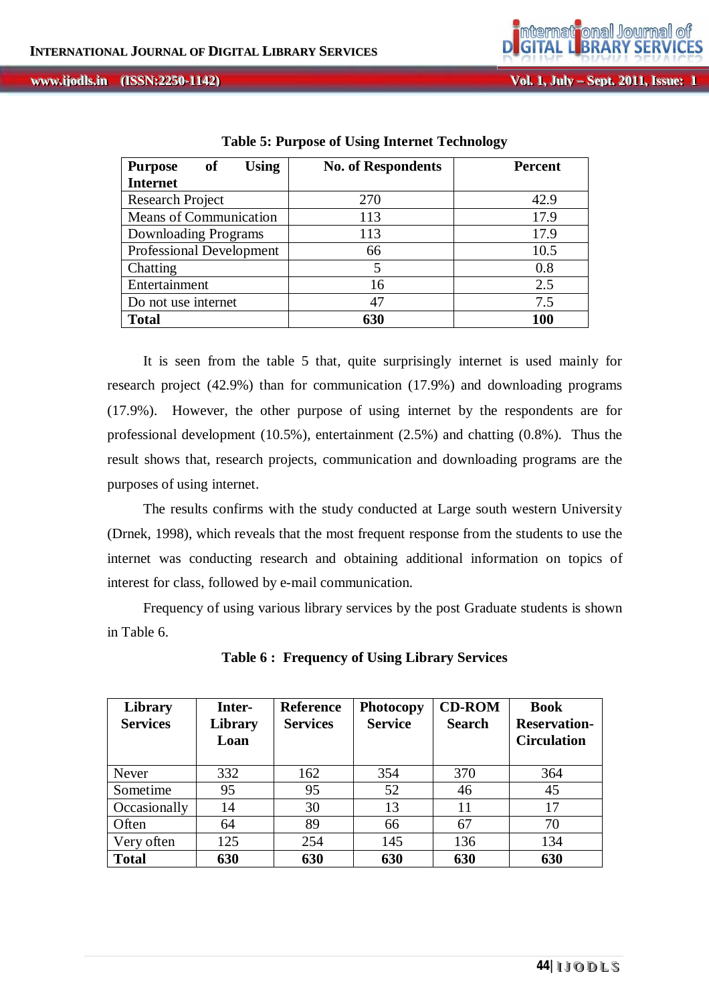| <b>Using</b><br>of<br><b>Purpose</b> | <b>No. of Respondents</b> | <b>Percent</b> |
|--------------------------------------|---------------------------|----------------|
| <b>Internet</b>                      |                           |                |
| Research Project                     | 270                       | 42.9           |
| Means of Communication               | 113                       | 17.9           |
| Downloading Programs                 | 113                       | 17.9           |
| <b>Professional Development</b>      | 66                        | 10.5           |
| Chatting                             | 5                         | 0.8            |
| Entertainment                        | 16                        | 2.5            |
| Do not use internet                  | 47                        | 7.5            |
| <b>Total</b>                         | 630                       | 100            |

**Table 5: Purpose of Using Internet Technology**

It is seen from the table 5 that, quite surprisingly internet is used mainly for research project (42.9%) than for communication (17.9%) and downloading programs (17.9%). However, the other purpose of using internet by the respondents are for professional development  $(10.5\%)$ , entertainment  $(2.5\%)$  and chatting  $(0.8\%)$ . Thus the result shows that, research projects, communication and downloading programs are the purposes of using internet.

 The results confirms with the study conducted at Large south western University (Drnek, 1998), which reveals that the most frequent response from the students to use the internet was conducting research and obtaining additional information on topics of interest for class, followed by e-mail communication.

 Frequency of using various library services by the post Graduate students is shown in Table 6.

| Library         | Inter-  | <b>Reference</b> | Photocopy      | <b>CD-ROM</b> | <b>Book</b>         |
|-----------------|---------|------------------|----------------|---------------|---------------------|
| <b>Services</b> | Library | <b>Services</b>  | <b>Service</b> | <b>Search</b> | <b>Reservation-</b> |
|                 | Loan    |                  |                |               | <b>Circulation</b>  |
|                 |         |                  |                |               |                     |
| <b>Never</b>    | 332     | 162              | 354            | 370           | 364                 |
| Sometime        | 95      | 95               | 52             | 46            | 45                  |
| Occasionally    | 14      | 30               | 13             | 11            | 17                  |
| Often           | 64      | 89               | 66             | 67            | 70                  |
| Very often      | 125     | 254              | 145            | 136           | 134                 |
| <b>Total</b>    | 630     | 630              | 630            | 630           | 630                 |

**Table 6 : Frequency of Using Library Services**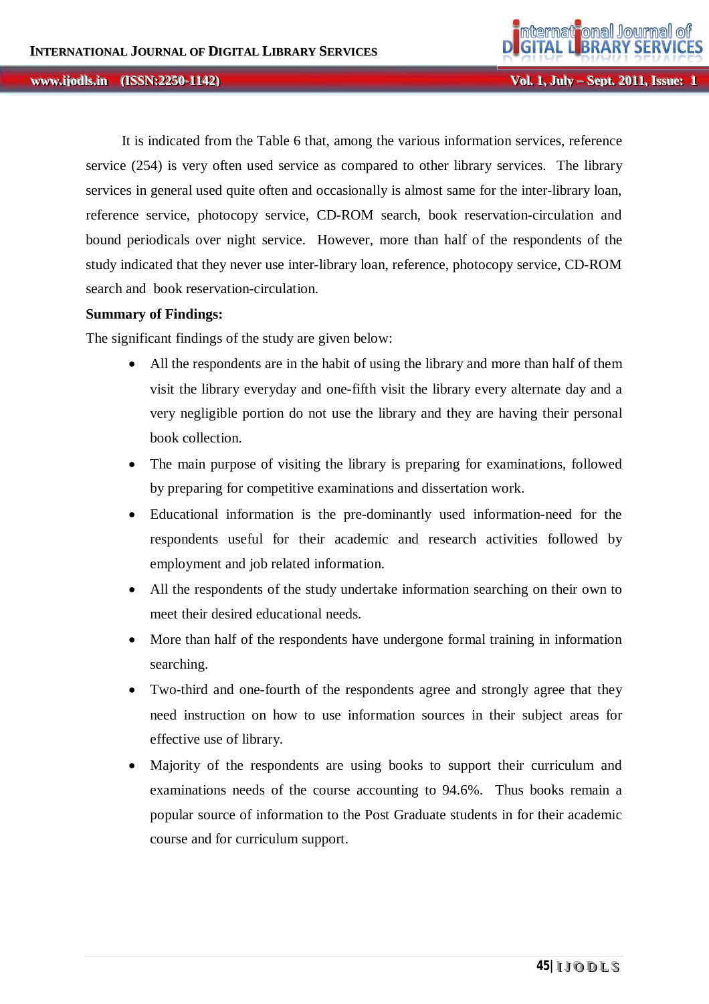**Vol. 1, Jul** *ly* **– Sept. 2011, Issue: 1** 

 It is indicated from the Table 6 that, among the various information services, reference service (254) is very often used service as compared to other library services. The library services in general used quite often and occasionally is almost same for the inter-library loan, reference service, photocopy service, CD-ROM search, book reservation-circulation and bound periodicals over night service. However, more than half of the respondents of the study indicated that they never use inter-library loan, reference, photocopy service, CD-ROM search and book reservation-circulation.

#### **Summary of Findings:**

The significant findings of the study are given below:

- All the respondents are in the habit of using the library and more than half of them visit the library everyday and one-fifth visit the library every alternate day and a very negligible portion do not use the library and they are having their personal book collection.
- The main purpose of visiting the library is preparing for examinations, followed by preparing for competitive examinations and dissertation work.
- Educational information is the pre-dominantly used information-need for the respondents useful for their academic and research activities followed by employment and job related information.
- All the respondents of the study undertake information searching on their own to meet their desired educational needs.
- More than half of the respondents have undergone formal training in information searching.
- Two-third and one-fourth of the respondents agree and strongly agree that they need instruction on how to use information sources in their subject areas for effective use of library.
- Majority of the respondents are using books to support their curriculum and examinations needs of the course accounting to 94.6%. Thus books remain a popular source of information to the Post Graduate students in for their academic course and for curriculum support.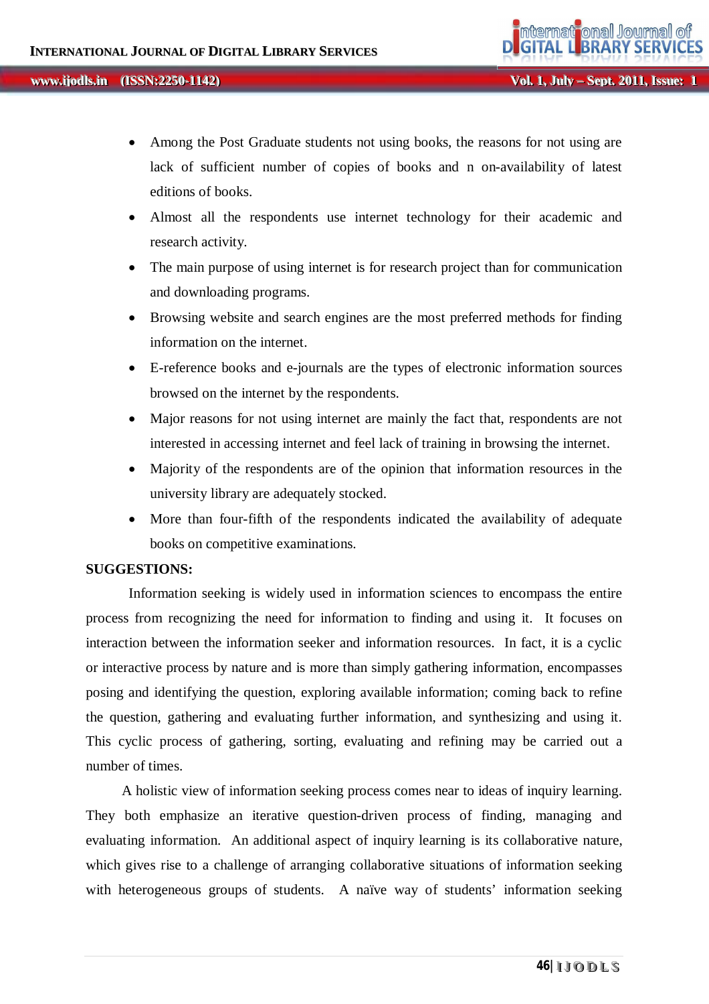- Among the Post Graduate students not using books, the reasons for not using are lack of sufficient number of copies of books and n on-availability of latest editions of books.
- Almost all the respondents use internet technology for their academic and research activity.
- The main purpose of using internet is for research project than for communication and downloading programs.
- Browsing website and search engines are the most preferred methods for finding information on the internet.
- E-reference books and e-journals are the types of electronic information sources browsed on the internet by the respondents.
- Major reasons for not using internet are mainly the fact that, respondents are not interested in accessing internet and feel lack of training in browsing the internet.
- Majority of the respondents are of the opinion that information resources in the university library are adequately stocked.
- More than four-fifth of the respondents indicated the availability of adequate books on competitive examinations.

# **SUGGESTIONS:**

Information seeking is widely used in information sciences to encompass the entire process from recognizing the need for information to finding and using it. It focuses on interaction between the information seeker and information resources. In fact, it is a cyclic or interactive process by nature and is more than simply gathering information, encompasses posing and identifying the question, exploring available information; coming back to refine the question, gathering and evaluating further information, and synthesizing and using it. This cyclic process of gathering, sorting, evaluating and refining may be carried out a number of times.

 A holistic view of information seeking process comes near to ideas of inquiry learning. They both emphasize an iterative question-driven process of finding, managing and evaluating information. An additional aspect of inquiry learning is its collaborative nature, which gives rise to a challenge of arranging collaborative situations of information seeking with heterogeneous groups of students. A naïve way of students' information seeking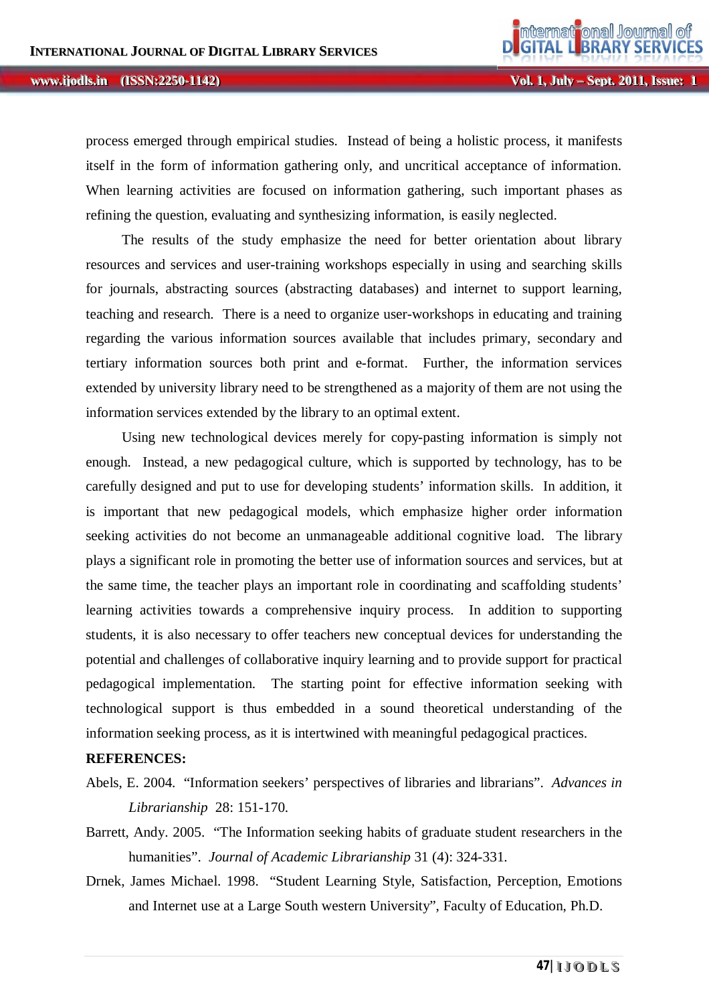process emerged through empirical studies. Instead of being a holistic process, it manifests itself in the form of information gathering only, and uncritical acceptance of information. When learning activities are focused on information gathering, such important phases as refining the question, evaluating and synthesizing information, is easily neglected.

 The results of the study emphasize the need for better orientation about library resources and services and user-training workshops especially in using and searching skills for journals, abstracting sources (abstracting databases) and internet to support learning, teaching and research. There is a need to organize user-workshops in educating and training regarding the various information sources available that includes primary, secondary and tertiary information sources both print and e-format. Further, the information services extended by university library need to be strengthened as a majority of them are not using the information services extended by the library to an optimal extent.

 Using new technological devices merely for copy-pasting information is simply not enough. Instead, a new pedagogical culture, which is supported by technology, has to be carefully designed and put to use for developing students' information skills. In addition, it is important that new pedagogical models, which emphasize higher order information seeking activities do not become an unmanageable additional cognitive load. The library plays a significant role in promoting the better use of information sources and services, but at the same time, the teacher plays an important role in coordinating and scaffolding students' learning activities towards a comprehensive inquiry process. In addition to supporting students, it is also necessary to offer teachers new conceptual devices for understanding the potential and challenges of collaborative inquiry learning and to provide support for practical pedagogical implementation. The starting point for effective information seeking with technological support is thus embedded in a sound theoretical understanding of the information seeking process, as it is intertwined with meaningful pedagogical practices.

## **REFERENCES:**

- Abels, E. 2004. "Information seekers' perspectives of libraries and librarians". *Advances in Librarianship* 28: 151-170.
- Barrett, Andy. 2005. "The Information seeking habits of graduate student researchers in the humanities". *Journal of Academic Librarianship* 31 (4): 324-331.
- Drnek, James Michael. 1998. "Student Learning Style, Satisfaction, Perception, Emotions and Internet use at a Large South western University", Faculty of Education, Ph.D.